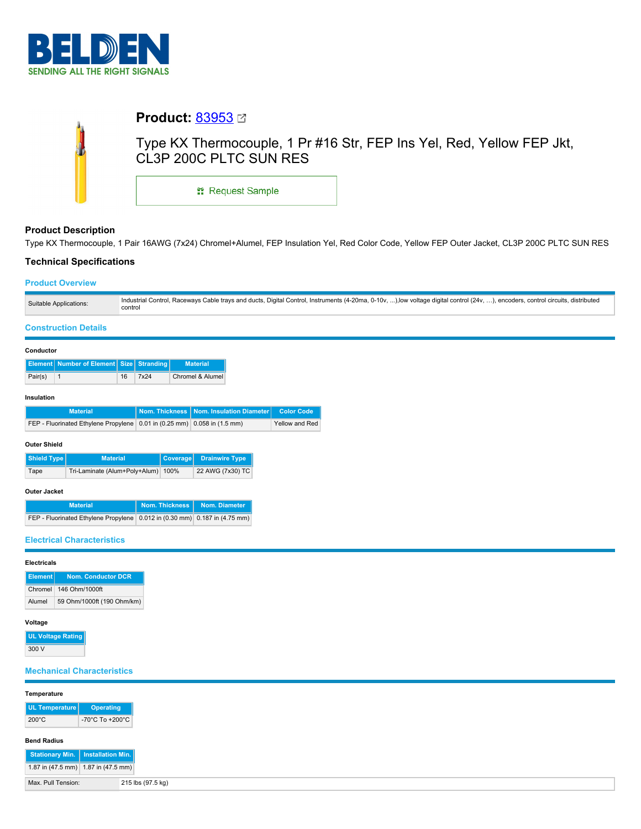

|                         | <b>Product: 83953</b> ⊠ |                                                                       |
|-------------------------|-------------------------|-----------------------------------------------------------------------|
| $\color{red}\mathbf{0}$ | CL3P 200C PLTC SUN RES  | Type KX Thermocouple, 1 Pr #16 Str, FEP Ins Yel, Red, Yellow FEP Jkt, |
|                         | <b>: Request Sample</b> |                                                                       |

# **Product Description**

Type KX Thermocouple, 1 Pair 16AWG (7x24) Chromel+Alumel, FEP Insulation Yel, Red Color Code, Yellow FEP Outer Jacket, CL3P 200C PLTC SUN RES

# **Technical Specifications**

## **Product Overview**

| Suitable Applications: | Industrial Control, Raceways Cable trays and ducts, Digital Control, Instruments (4-20ma, 0-10v, ),low voltage digital control (24v, ), encoders, control circuits, distributed<br>control |
|------------------------|--------------------------------------------------------------------------------------------------------------------------------------------------------------------------------------------|

# **Construction Details**

#### **Conductor**

|         | <b>Element</b> Number of Element Size Stranding |    |      | <b>Material</b>  |
|---------|-------------------------------------------------|----|------|------------------|
| Pair(s) |                                                 | 16 | 7x24 | Chromel & Alumel |

### **Insulation**

| <b>Material</b>                                                          | Nom. Thickness   Nom. Insulation Diameter   Color Code |                |
|--------------------------------------------------------------------------|--------------------------------------------------------|----------------|
| FEP - Fluorinated Ethylene Propylene 0.01 in (0.25 mm) 0.058 in (1.5 mm) |                                                        | Yellow and Red |

### **Outer Shield**

| Shield Type | <b>Material</b>                    | Coverage Drainwire Type |
|-------------|------------------------------------|-------------------------|
| Tape        | Tri-Laminate (Alum+Poly+Alum) 100% | 22 AWG (7x30) TC        |

### **Outer Jacket**

| <b>Material</b>                                                              | Nom. Thickness Nom. Diameter |  |
|------------------------------------------------------------------------------|------------------------------|--|
| FEP - Fluorinated Ethylene Propylene   0.012 in (0.30 mm) 0.187 in (4.75 mm) |                              |  |

# **Electrical Characteristics**

### **Electricals**

|        | Element Nom. Conductor DCR |
|--------|----------------------------|
|        | Chromel 146 Ohm/1000ft     |
| Alumel | 59 Ohm/1000ft (190 Ohm/km) |

# **Voltage**

| <b>UL Voltage Rating</b> |
|--------------------------|
| 300 V                    |

# **Mechanical Characteristics**

| Temperature                         |                                     |
|-------------------------------------|-------------------------------------|
| UL Temperature                      | <b>Operating</b>                    |
| $200^{\circ}$ C                     | -70°C To +200°C                     |
| <b>Bend Radius</b>                  |                                     |
| Stationary Min.   Installation Min. |                                     |
|                                     | 1.87 in (47.5 mm) 1.87 in (47.5 mm) |
| Max. Pull Tension:                  | 215 lbs (97.5 kg)                   |